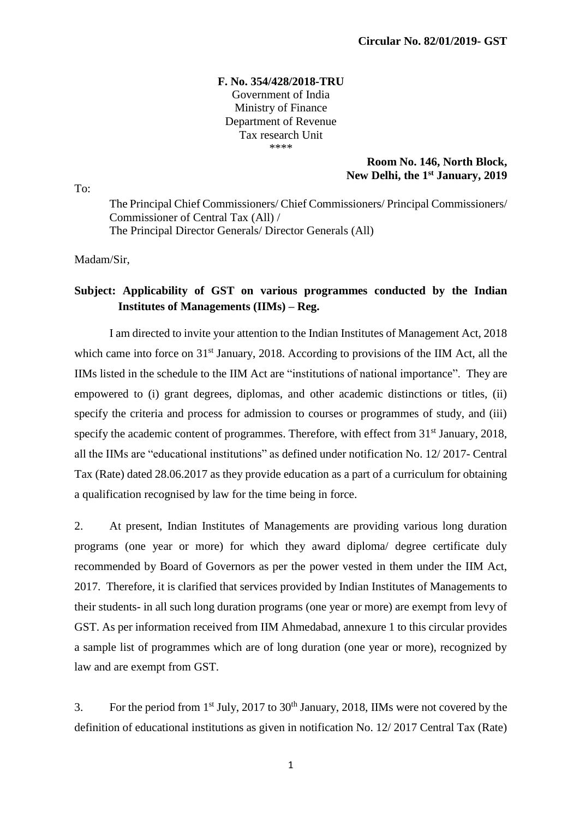#### **F. No. 354/428/2018-TRU** Government of India Ministry of Finance Department of Revenue Tax research Unit \*\*\*\*

#### **Room No. 146, North Block, New Delhi, the 1st January, 2019**

To:

The Principal Chief Commissioners/ Chief Commissioners/ Principal Commissioners/ Commissioner of Central Tax (All) / The Principal Director Generals/ Director Generals (All)

Madam/Sir,

# **Subject: Applicability of GST on various programmes conducted by the Indian Institutes of Managements (IIMs) – Reg.**

I am directed to invite your attention to the Indian Institutes of Management Act, 2018 which came into force on 31<sup>st</sup> January, 2018. According to provisions of the IIM Act, all the IIMs listed in the schedule to the IIM Act are "institutions of national importance". They are empowered to (i) grant degrees, diplomas, and other academic distinctions or titles, (ii) specify the criteria and process for admission to courses or programmes of study, and (iii) specify the academic content of programmes. Therefore, with effect from  $31<sup>st</sup>$  January, 2018, all the IIMs are "educational institutions" as defined under notification No. 12/ 2017- Central Tax (Rate) dated 28.06.2017 as they provide education as a part of a curriculum for obtaining a qualification recognised by law for the time being in force.

2. At present, Indian Institutes of Managements are providing various long duration programs (one year or more) for which they award diploma/ degree certificate duly recommended by Board of Governors as per the power vested in them under the IIM Act, 2017. Therefore, it is clarified that services provided by Indian Institutes of Managements to their students- in all such long duration programs (one year or more) are exempt from levy of GST. As per information received from IIM Ahmedabad, annexure 1 to this circular provides a sample list of programmes which are of long duration (one year or more), recognized by law and are exempt from GST.

3. For the period from  $1<sup>st</sup>$  July, 2017 to 30<sup>th</sup> January, 2018. IIMs were not covered by the definition of educational institutions as given in notification No. 12/ 2017 Central Tax (Rate)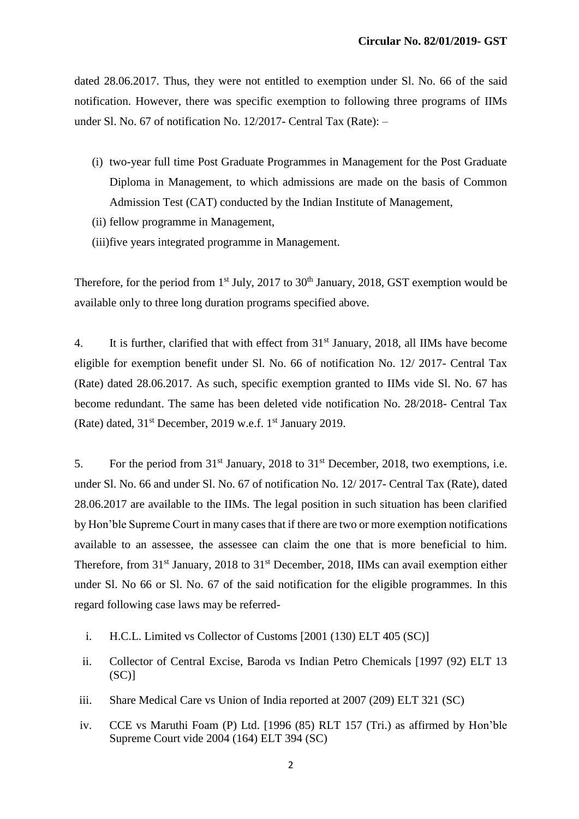dated 28.06.2017. Thus, they were not entitled to exemption under Sl. No. 66 of the said notification. However, there was specific exemption to following three programs of IIMs under Sl. No. 67 of notification No. 12/2017- Central Tax (Rate): –

- (i) two-year full time Post Graduate Programmes in Management for the Post Graduate Diploma in Management, to which admissions are made on the basis of Common Admission Test (CAT) conducted by the Indian Institute of Management,
- (ii) fellow programme in Management,
- (iii)five years integrated programme in Management.

Therefore, for the period from  $1<sup>st</sup>$  July, 2017 to 30<sup>th</sup> January, 2018, GST exemption would be available only to three long duration programs specified above.

4. It is further, clarified that with effect from 31<sup>st</sup> January, 2018, all IIMs have become eligible for exemption benefit under Sl. No. 66 of notification No. 12/ 2017- Central Tax (Rate) dated 28.06.2017. As such, specific exemption granted to IIMs vide Sl. No. 67 has become redundant. The same has been deleted vide notification No. 28/2018- Central Tax (Rate) dated,  $31<sup>st</sup>$  December, 2019 w.e.f.  $1<sup>st</sup>$  January 2019.

5. For the period from  $31<sup>st</sup>$  January, 2018 to  $31<sup>st</sup>$  December, 2018, two exemptions, i.e. under Sl. No. 66 and under Sl. No. 67 of notification No. 12/ 2017- Central Tax (Rate), dated 28.06.2017 are available to the IIMs. The legal position in such situation has been clarified by Hon'ble Supreme Court in many cases that if there are two or more exemption notifications available to an assessee, the assessee can claim the one that is more beneficial to him. Therefore, from 31<sup>st</sup> January, 2018 to 31<sup>st</sup> December, 2018, IIMs can avail exemption either under Sl. No 66 or Sl. No. 67 of the said notification for the eligible programmes. In this regard following case laws may be referred-

- i. H.C.L. Limited vs Collector of Customs [2001 (130) ELT 405 (SC)]
- ii. Collector of Central Excise, Baroda vs Indian Petro Chemicals [1997 (92) ELT 13  $(SC)$ ]
- iii. Share Medical Care vs Union of India reported at 2007 (209) ELT 321 (SC)
- iv. CCE vs Maruthi Foam (P) Ltd. [1996 (85) RLT 157 (Tri.) as affirmed by Hon'ble Supreme Court vide 2004 (164) ELT 394 (SC)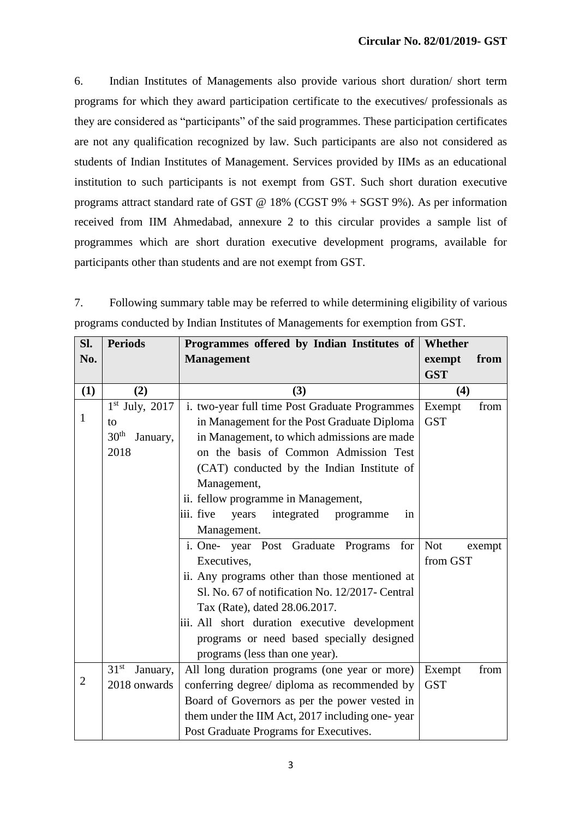6. Indian Institutes of Managements also provide various short duration/ short term programs for which they award participation certificate to the executives/ professionals as they are considered as "participants" of the said programmes. These participation certificates are not any qualification recognized by law. Such participants are also not considered as students of Indian Institutes of Management. Services provided by IIMs as an educational institution to such participants is not exempt from GST. Such short duration executive programs attract standard rate of GST @ 18% (CGST 9% + SGST 9%). As per information received from IIM Ahmedabad, annexure 2 to this circular provides a sample list of programmes which are short duration executive development programs, available for participants other than students and are not exempt from GST.

7. Following summary table may be referred to while determining eligibility of various programs conducted by Indian Institutes of Managements for exemption from GST.

| SI.            | <b>Periods</b>               | Programmes offered by Indian Institutes of          | Whether              |  |  |
|----------------|------------------------------|-----------------------------------------------------|----------------------|--|--|
| No.            |                              | <b>Management</b>                                   | from<br>exempt       |  |  |
|                |                              |                                                     | <b>GST</b>           |  |  |
| (1)            | (2)                          | (3)                                                 | (4)                  |  |  |
|                | $1st$ July, 2017             | i. two-year full time Post Graduate Programmes      | Exempt<br>from       |  |  |
| $\mathbf{1}$   | to                           | in Management for the Post Graduate Diploma         | <b>GST</b>           |  |  |
|                | 30 <sup>th</sup><br>January, | in Management, to which admissions are made         |                      |  |  |
|                | 2018                         |                                                     |                      |  |  |
|                |                              |                                                     |                      |  |  |
|                |                              | Management,                                         |                      |  |  |
|                |                              | ii. fellow programme in Management,                 |                      |  |  |
|                |                              | iii. five<br>integrated<br>years<br>programme<br>in |                      |  |  |
|                |                              | Management.                                         |                      |  |  |
|                |                              | i. One- year Post Graduate Programs<br>for          | <b>Not</b><br>exempt |  |  |
|                |                              | Executives,                                         | from GST             |  |  |
|                |                              | ii. Any programs other than those mentioned at      |                      |  |  |
|                |                              | Sl. No. 67 of notification No. 12/2017- Central     |                      |  |  |
|                |                              | Tax (Rate), dated 28.06.2017.                       |                      |  |  |
|                |                              | iii. All short duration executive development       |                      |  |  |
|                |                              | programs or need based specially designed           |                      |  |  |
|                |                              | programs (less than one year).                      |                      |  |  |
|                | 31 <sup>st</sup><br>January, | All long duration programs (one year or more)       | Exempt<br>from       |  |  |
| $\overline{2}$ | 2018 onwards                 | conferring degree/ diploma as recommended by        | <b>GST</b>           |  |  |
|                |                              | Board of Governors as per the power vested in       |                      |  |  |
|                |                              | them under the IIM Act, 2017 including one-year     |                      |  |  |
|                |                              | Post Graduate Programs for Executives.              |                      |  |  |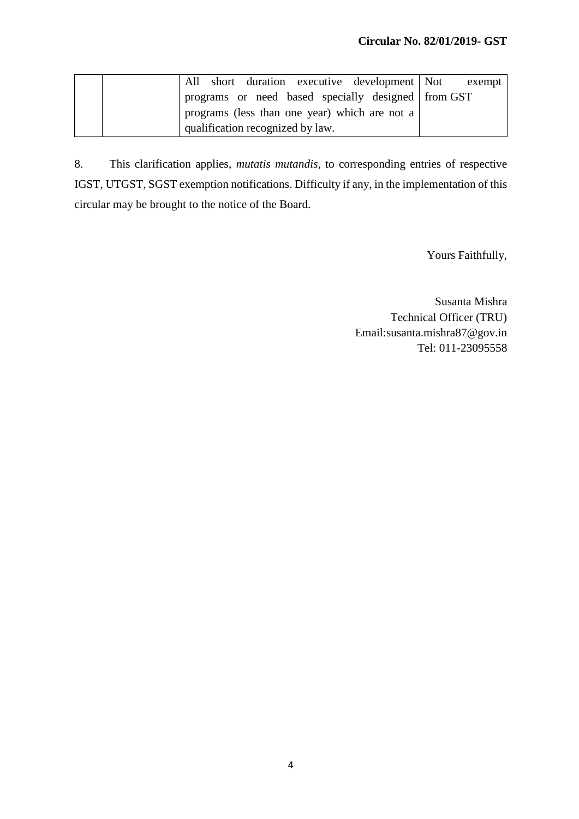|  |                                  | All short duration executive development Not       | exempt |
|--|----------------------------------|----------------------------------------------------|--------|
|  |                                  | programs or need based specially designed from GST |        |
|  |                                  | programs (less than one year) which are not a      |        |
|  | qualification recognized by law. |                                                    |        |

8. This clarification applies, *mutatis mutandis,* to corresponding entries of respective IGST, UTGST, SGST exemption notifications. Difficulty if any, in the implementation of this circular may be brought to the notice of the Board.

Yours Faithfully,

Susanta Mishra Technical Officer (TRU) Email:susanta.mishra87@gov.in Tel: 011-23095558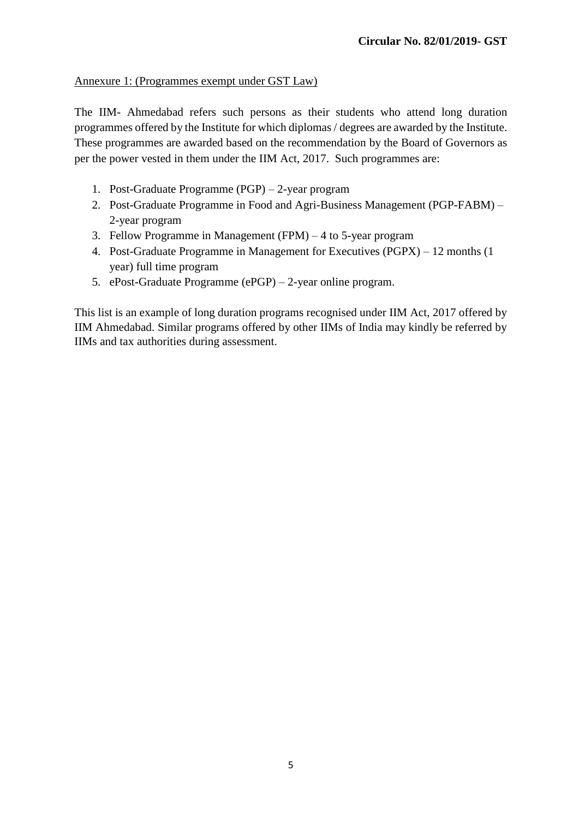# Annexure 1: (Programmes exempt under GST Law)

The IIM- Ahmedabad refers such persons as their students who attend long duration programmes offered by the Institute for which diplomas / degrees are awarded by the Institute. These programmes are awarded based on the recommendation by the Board of Governors as per the power vested in them under the IIM Act, 2017. Such programmes are:

- 1. Post-Graduate Programme (PGP) 2-year program
- 2. Post-Graduate Programme in Food and Agri-Business Management (PGP-FABM) 2-year program
- 3. Fellow Programme in Management (FPM) 4 to 5-year program
- 4. Post-Graduate Programme in Management for Executives (PGPX) 12 months (1 year) full time program
- 5. ePost-Graduate Programme (ePGP) 2-year online program.

This list is an example of long duration programs recognised under IIM Act, 2017 offered by IIM Ahmedabad. Similar programs offered by other IIMs of India may kindly be referred by IIMs and tax authorities during assessment.